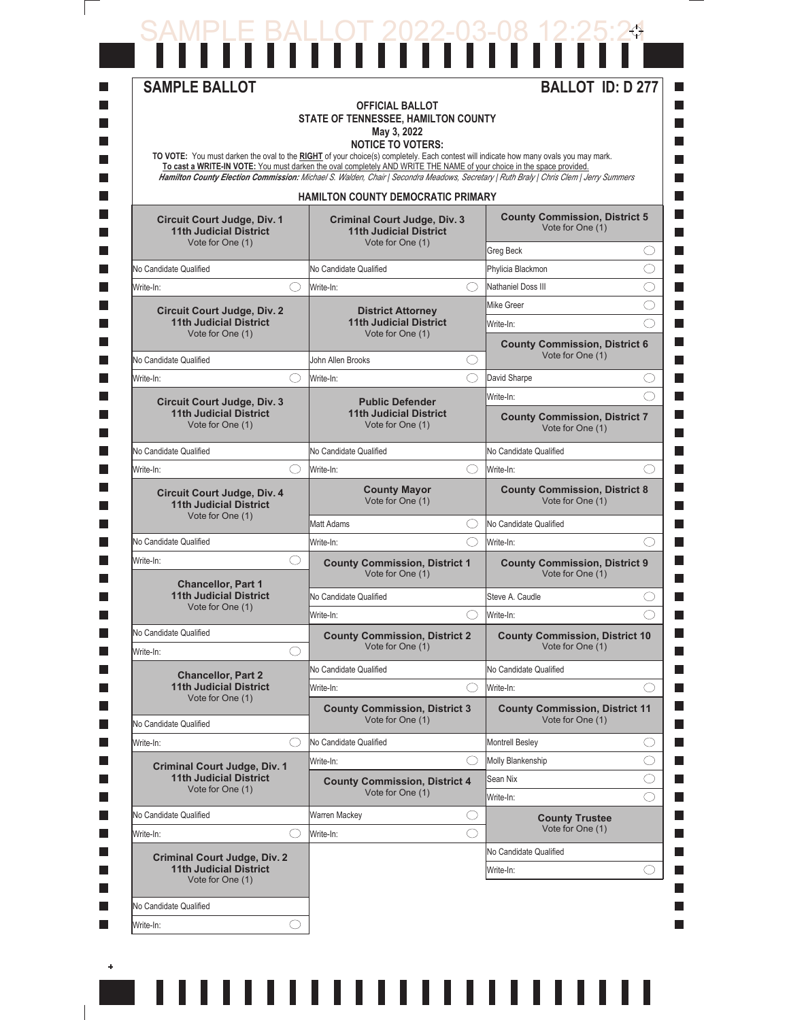## SAMPLE BALLOT 2022-03-08 12:25:24

| <b>SAMPLE BALLOT</b>                                                                    |            | <b>OFFICIAL BALLOT</b><br>STATE OF TENNESSEE, HAMILTON COUNTY<br>May 3, 2022<br><b>NOTICE TO VOTERS:</b><br>TO VOTE: You must darken the oval to the RIGHT of your choice(s) completely. Each contest will indicate how many ovals you may mark.<br>To cast a WRITE-IN VOTE: You must darken the oval completely AND WRITE THE NAME of your choice in the space provided.<br>Hamilton County Election Commission: Michael S. Walden, Chair   Secondra Meadows, Secretary   Ruth Braly   Chris Clem   Jerry Summers |            | <b>BALLOT ID: D 277</b>                                                                                       |     |
|-----------------------------------------------------------------------------------------|------------|--------------------------------------------------------------------------------------------------------------------------------------------------------------------------------------------------------------------------------------------------------------------------------------------------------------------------------------------------------------------------------------------------------------------------------------------------------------------------------------------------------------------|------------|---------------------------------------------------------------------------------------------------------------|-----|
|                                                                                         |            | HAMILTON COUNTY DEMOCRATIC PRIMARY                                                                                                                                                                                                                                                                                                                                                                                                                                                                                 |            |                                                                                                               |     |
| Circuit Court Judge, Div. 1<br><b>11th Judicial District</b>                            |            | <b>Criminal Court Judge, Div. 3</b><br><b>11th Judicial District</b>                                                                                                                                                                                                                                                                                                                                                                                                                                               |            | <b>County Commission, District 5</b><br>Vote for One (1)                                                      |     |
| Vote for One (1)                                                                        |            | Vote for One (1)                                                                                                                                                                                                                                                                                                                                                                                                                                                                                                   |            | Greg Beck                                                                                                     | ()  |
| No Candidate Qualified                                                                  |            | No Candidate Qualified                                                                                                                                                                                                                                                                                                                                                                                                                                                                                             |            | Phylicia Blackmon                                                                                             | O   |
| Write-In:                                                                               | ◯          | Write-In:                                                                                                                                                                                                                                                                                                                                                                                                                                                                                                          | ◯          | Nathaniel Doss III                                                                                            | ⌒   |
| <b>Circuit Court Judge, Div. 2</b>                                                      |            | <b>District Attorney</b>                                                                                                                                                                                                                                                                                                                                                                                                                                                                                           |            | Mike Greer                                                                                                    | ( ) |
| <b>11th Judicial District</b><br>Vote for One (1)                                       |            | <b>11th Judicial District</b><br>Vote for One (1)                                                                                                                                                                                                                                                                                                                                                                                                                                                                  |            | Write-In:                                                                                                     | ⌒   |
| No Candidate Qualified                                                                  |            | John Allen Brooks                                                                                                                                                                                                                                                                                                                                                                                                                                                                                                  | O          | <b>County Commission, District 6</b><br>Vote for One (1)                                                      |     |
| Write-In:                                                                               |            | Write-In:                                                                                                                                                                                                                                                                                                                                                                                                                                                                                                          | ◯          | David Sharpe                                                                                                  | O   |
|                                                                                         |            |                                                                                                                                                                                                                                                                                                                                                                                                                                                                                                                    |            | Write-In:                                                                                                     | ⌒   |
| <b>Circuit Court Judge, Div. 3</b><br><b>11th Judicial District</b><br>Vote for One (1) |            | <b>Public Defender</b><br><b>11th Judicial District</b><br>Vote for One (1)                                                                                                                                                                                                                                                                                                                                                                                                                                        |            | <b>County Commission, District 7</b><br>Vote for One (1)                                                      |     |
| No Candidate Qualified                                                                  |            | No Candidate Qualified                                                                                                                                                                                                                                                                                                                                                                                                                                                                                             |            | No Candidate Qualified                                                                                        |     |
| Write-In:                                                                               | ⌒          | Write-In:                                                                                                                                                                                                                                                                                                                                                                                                                                                                                                          | ◯          | Write-In:                                                                                                     | ◯   |
| <b>Circuit Court Judge, Div. 4</b><br><b>11th Judicial District</b>                     |            | <b>County Mayor</b><br>Vote for One (1)                                                                                                                                                                                                                                                                                                                                                                                                                                                                            |            | <b>County Commission, District 8</b><br>Vote for One (1)                                                      |     |
| Vote for One (1)                                                                        |            | Matt Adams                                                                                                                                                                                                                                                                                                                                                                                                                                                                                                         | ◯          | No Candidate Qualified                                                                                        |     |
| No Candidate Qualified                                                                  |            | Write-In:                                                                                                                                                                                                                                                                                                                                                                                                                                                                                                          | ⌒          | Write-In:                                                                                                     | ⌒   |
| Write-In:                                                                               | ( )        | <b>County Commission, District 1</b><br>Vote for One (1)                                                                                                                                                                                                                                                                                                                                                                                                                                                           |            | Vote for One (1)                                                                                              |     |
| <b>Chancellor, Part 1</b><br><b>11th Judicial District</b>                              |            | No Candidate Qualified                                                                                                                                                                                                                                                                                                                                                                                                                                                                                             |            | <b>County Commission, District 9</b><br>Steve A. Caudle<br>Write-In:<br><b>County Commission, District 10</b> | ( ) |
| Vote for One (1)                                                                        |            | Write-In:                                                                                                                                                                                                                                                                                                                                                                                                                                                                                                          | $\bigcirc$ |                                                                                                               | ⌒   |
| No Candidate Qualified                                                                  |            | <b>County Commission, District 2</b><br>Vote for One (1)                                                                                                                                                                                                                                                                                                                                                                                                                                                           |            | Vote for One (1)                                                                                              |     |
| Write-In:                                                                               | $\bigcirc$ |                                                                                                                                                                                                                                                                                                                                                                                                                                                                                                                    |            |                                                                                                               |     |
| <b>Chancellor, Part 2</b><br><b>11th Judicial District</b>                              |            | No Candidate Qualified                                                                                                                                                                                                                                                                                                                                                                                                                                                                                             |            | No Candidate Qualified                                                                                        |     |
| Vote for One (1)                                                                        |            | Write-In:                                                                                                                                                                                                                                                                                                                                                                                                                                                                                                          | ()         | Write-In:                                                                                                     | ( ) |
| No Candidate Qualified                                                                  |            | <b>County Commission, District 3</b><br>Vote for One (1)                                                                                                                                                                                                                                                                                                                                                                                                                                                           |            | <b>County Commission, District 11</b><br>Vote for One (1)                                                     |     |
| Write-In:                                                                               |            | No Candidate Qualified                                                                                                                                                                                                                                                                                                                                                                                                                                                                                             |            | <b>Montrell Besley</b>                                                                                        | O   |
| <b>Criminal Court Judge, Div. 1</b>                                                     |            | Write-In:                                                                                                                                                                                                                                                                                                                                                                                                                                                                                                          | ()         | Molly Blankenship                                                                                             | ()  |
| <b>11th Judicial District</b>                                                           |            | <b>County Commission, District 4</b>                                                                                                                                                                                                                                                                                                                                                                                                                                                                               |            | Sean Nix                                                                                                      | O   |
| Vote for One (1)                                                                        |            | Vote for One (1)                                                                                                                                                                                                                                                                                                                                                                                                                                                                                                   |            | Write-In:                                                                                                     | ⌒   |
| No Candidate Qualified                                                                  |            | Warren Mackey                                                                                                                                                                                                                                                                                                                                                                                                                                                                                                      | O          | <b>County Trustee</b>                                                                                         |     |
| Write-In:                                                                               |            | Write-In:                                                                                                                                                                                                                                                                                                                                                                                                                                                                                                          | O          | Vote for One (1)                                                                                              |     |
| <b>Criminal Court Judge, Div. 2</b>                                                     |            |                                                                                                                                                                                                                                                                                                                                                                                                                                                                                                                    |            | No Candidate Qualified                                                                                        |     |
| <b>11th Judicial District</b><br>Vote for One (1)                                       |            |                                                                                                                                                                                                                                                                                                                                                                                                                                                                                                                    |            | Write-In:                                                                                                     | ◯   |
| No Candidate Qualified                                                                  |            |                                                                                                                                                                                                                                                                                                                                                                                                                                                                                                                    |            |                                                                                                               |     |
| Write-In:                                                                               | ◯          |                                                                                                                                                                                                                                                                                                                                                                                                                                                                                                                    |            |                                                                                                               |     |
|                                                                                         |            |                                                                                                                                                                                                                                                                                                                                                                                                                                                                                                                    |            |                                                                                                               |     |

,,,,,,,,,,,,,,,,,,,,,